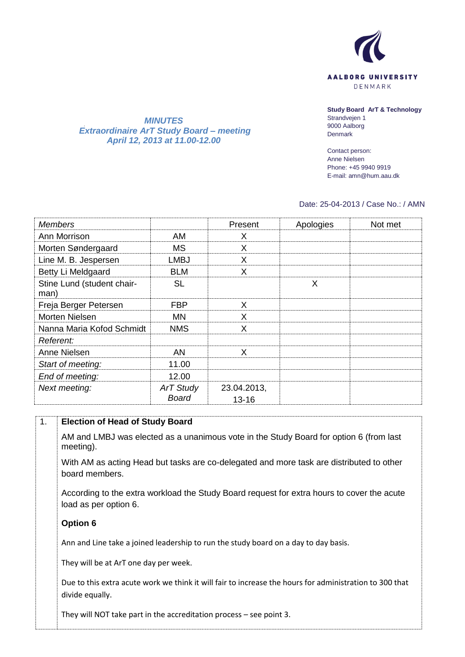

*MINUTES Extraordinaire ArT Study Board – meeting April 12, 2013 at 11.00-12.00*

**Study Board ArT & Technology** Strandvejen 1 9000 Aalborg Denmark

Contact person: Anne Nielsen Phone: +45 9940 9919 E-mail: amn@hum.aau.dk

## Date: 25-04-2013 / Case No.: / AMN

| <b>Members</b>                     |                           | Present              | Apologies | Not met |
|------------------------------------|---------------------------|----------------------|-----------|---------|
| Ann Morrison                       | AM.                       | X                    |           |         |
| Morten Søndergaard                 | <b>MS</b>                 | X                    |           |         |
| Line M. B. Jespersen               | <b>LMBJ</b>               | X                    |           |         |
| Betty Li Meldgaard                 | <b>BLM</b>                | X                    |           |         |
| Stine Lund (student chair-<br>man) | <b>SL</b>                 |                      | X         |         |
| Freja Berger Petersen              | <b>FBP</b>                | X                    |           |         |
| Morten Nielsen                     | <b>MN</b>                 | X                    |           |         |
| Nanna Maria Kofod Schmidt          | <b>NMS</b>                | X                    |           |         |
| Referent:                          |                           |                      |           |         |
| Anne Nielsen                       | <b>AN</b>                 | X                    |           |         |
| Start of meeting:                  | 11.00                     |                      |           |         |
| End of meeting:                    | 12.00                     |                      |           |         |
| Next meeting:                      | <b>ArT Study</b><br>Board | 23.04.2013,<br>13-16 |           |         |

## 1. **Election of Head of Study Board**

AM and LMBJ was elected as a unanimous vote in the Study Board for option 6 (from last meeting).

With AM as acting Head but tasks are co-delegated and more task are distributed to other board members.

According to the extra workload the Study Board request for extra hours to cover the acute load as per option 6.

## **Option 6**

Ann and Line take a joined leadership to run the study board on a day to day basis.

They will be at ArT one day per week.

Due to this extra acute work we think it will fair to increase the hours for administration to 300 that divide equally.

They will NOT take part in the accreditation process – see point 3.